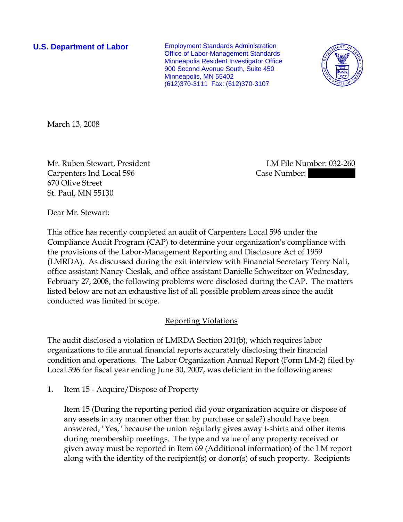**U.S. Department of Labor Employment Standards Administration** Office of Labor-Management Standards Minneapolis Resident Investigator Office 900 Second Avenue South, Suite 450 Minneapolis, MN 55402 (612)370-3111 Fax: (612)370-3107



March 13, 2008

Mr. Ruben Stewart, President LM File Number: 032-260 Carpenters Ind Local 596 Case Number: 670 Olive Street St. Paul, MN 55130

Dear Mr. Stewart:

This office has recently completed an audit of Carpenters Local 596 under the Compliance Audit Program (CAP) to determine your organization's compliance with the provisions of the Labor-Management Reporting and Disclosure Act of 1959 (LMRDA). As discussed during the exit interview with Financial Secretary Terry Nali, office assistant Nancy Cieslak, and office assistant Danielle Schweitzer on Wednesday, February 27, 2008, the following problems were disclosed during the CAP. The matters listed below are not an exhaustive list of all possible problem areas since the audit conducted was limited in scope.

## Reporting Violations

The audit disclosed a violation of LMRDA Section 201(b), which requires labor organizations to file annual financial reports accurately disclosing their financial condition and operations. The Labor Organization Annual Report (Form LM-2) filed by Local 596 for fiscal year ending June 30, 2007, was deficient in the following areas:

1. Item 15 - Acquire/Dispose of Property

Item 15 (During the reporting period did your organization acquire or dispose of any assets in any manner other than by purchase or sale?) should have been answered, "Yes," because the union regularly gives away t-shirts and other items during membership meetings. The type and value of any property received or given away must be reported in Item 69 (Additional information) of the LM report along with the identity of the recipient(s) or donor(s) of such property. Recipients